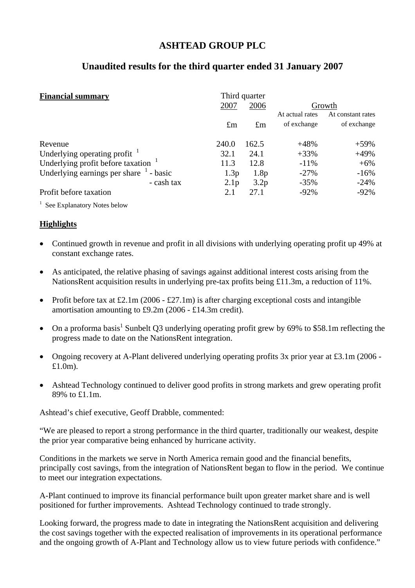# **ASHTEAD GROUP PLC**

# **Unaudited results for the third quarter ended 31 January 2007**

| <b>Financial summary</b>                       |                  | Third quarter |                 |                   |
|------------------------------------------------|------------------|---------------|-----------------|-------------------|
|                                                | 2007             | 2006          | Growth          |                   |
|                                                |                  |               | At actual rates | At constant rates |
|                                                | $\pounds$ m      | $\pounds$ m   | of exchange     | of exchange       |
| Revenue                                        | 240.0            | 162.5         | $+48%$          | $+59\%$           |
| Underlying operating profit                    | 32.1             | 24.1          | $+33%$          | $+49%$            |
| Underlying profit before taxation <sup>1</sup> | 11.3             | 12.8          | $-11\%$         | $+6\%$            |
| Underlying earnings per share $1$ - basic      | 1.3p             | 1.8p          | $-27%$          | $-16%$            |
| - cash tax                                     | 2.1 <sub>p</sub> | 3.2p          | $-35%$          | $-24%$            |
| Profit before taxation                         | 2.1              | 27.1          | $-92%$          | $-92\%$           |

<sup>1</sup> See Explanatory Notes below

## **Highlights**

- Continued growth in revenue and profit in all divisions with underlying operating profit up 49% at constant exchange rates.
- As anticipated, the relative phasing of savings against additional interest costs arising from the NationsRent acquisition results in underlying pre-tax profits being £11.3m, a reduction of 11%.
- Profit before tax at £2.1m (2006 £27.1m) is after charging exceptional costs and intangible amortisation amounting to £9.2m (2006 - £14.3m credit).
- On a proforma basis<sup>1</sup> Sunbelt Q3 underlying operating profit grew by 69% to \$58.1m reflecting the progress made to date on the NationsRent integration.
- Ongoing recovery at A-Plant delivered underlying operating profits 3x prior year at £3.1m (2006 -£1.0m).
- Ashtead Technology continued to deliver good profits in strong markets and grew operating profit 89% to £1.1m.

Ashtead's chief executive, Geoff Drabble, commented:

"We are pleased to report a strong performance in the third quarter, traditionally our weakest, despite the prior year comparative being enhanced by hurricane activity.

Conditions in the markets we serve in North America remain good and the financial benefits, principally cost savings, from the integration of NationsRent began to flow in the period. We continue to meet our integration expectations.

A-Plant continued to improve its financial performance built upon greater market share and is well positioned for further improvements. Ashtead Technology continued to trade strongly.

Looking forward, the progress made to date in integrating the NationsRent acquisition and delivering the cost savings together with the expected realisation of improvements in its operational performance and the ongoing growth of A-Plant and Technology allow us to view future periods with confidence."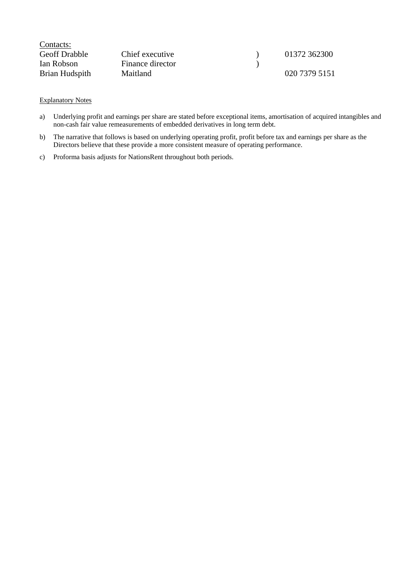| Contacts:            |                  |               |
|----------------------|------------------|---------------|
| <b>Geoff</b> Drabble | Chief executive  | 01372 362300  |
| Ian Robson           | Finance director |               |
| Brian Hudspith       | Maitland         | 020 7379 5151 |

#### Explanatory Notes

- a) Underlying profit and earnings per share are stated before exceptional items, amortisation of acquired intangibles and non-cash fair value remeasurements of embedded derivatives in long term debt.
- b) The narrative that follows is based on underlying operating profit, profit before tax and earnings per share as the Directors believe that these provide a more consistent measure of operating performance.
- c) Proforma basis adjusts for NationsRent throughout both periods.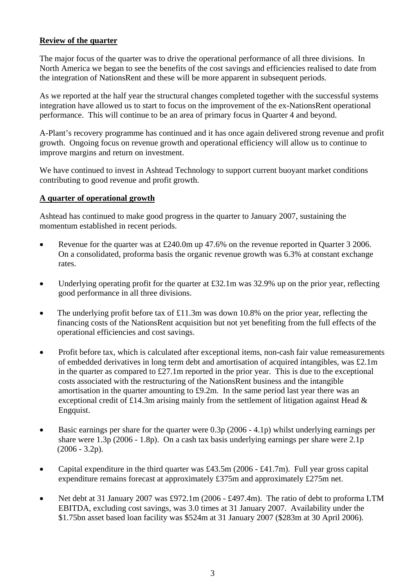## **Review of the quarter**

The major focus of the quarter was to drive the operational performance of all three divisions. In North America we began to see the benefits of the cost savings and efficiencies realised to date from the integration of NationsRent and these will be more apparent in subsequent periods.

As we reported at the half year the structural changes completed together with the successful systems integration have allowed us to start to focus on the improvement of the ex-NationsRent operational performance. This will continue to be an area of primary focus in Quarter 4 and beyond.

A-Plant's recovery programme has continued and it has once again delivered strong revenue and profit growth. Ongoing focus on revenue growth and operational efficiency will allow us to continue to improve margins and return on investment.

We have continued to invest in Ashtead Technology to support current buoyant market conditions contributing to good revenue and profit growth.

## **A quarter of operational growth**

Ashtead has continued to make good progress in the quarter to January 2007, sustaining the momentum established in recent periods.

- Revenue for the quarter was at £240.0m up 47.6% on the revenue reported in Quarter 3 2006. On a consolidated, proforma basis the organic revenue growth was 6.3% at constant exchange rates.
- Underlying operating profit for the quarter at £32.1m was 32.9% up on the prior year, reflecting good performance in all three divisions.
- The underlying profit before tax of £11.3m was down 10.8% on the prior year, reflecting the financing costs of the NationsRent acquisition but not yet benefiting from the full effects of the operational efficiencies and cost savings.
- Profit before tax, which is calculated after exceptional items, non-cash fair value remeasurements of embedded derivatives in long term debt and amortisation of acquired intangibles, was £2.1m in the quarter as compared to £27.1m reported in the prior year. This is due to the exceptional costs associated with the restructuring of the NationsRent business and the intangible amortisation in the quarter amounting to £9.2m. In the same period last year there was an exceptional credit of £14.3m arising mainly from the settlement of litigation against Head & Engquist.
- Basic earnings per share for the quarter were 0.3p (2006 4.1p) whilst underlying earnings per share were 1.3p (2006 - 1.8p). On a cash tax basis underlying earnings per share were 2.1p  $(2006 - 3.2p).$
- Capital expenditure in the third quarter was £43.5m (2006 £41.7m). Full year gross capital expenditure remains forecast at approximately £375m and approximately £275m net.
- Net debt at 31 January 2007 was £972.1m (2006 £497.4m). The ratio of debt to proforma LTM EBITDA, excluding cost savings, was 3.0 times at 31 January 2007. Availability under the \$1.75bn asset based loan facility was \$524m at 31 January 2007 (\$283m at 30 April 2006).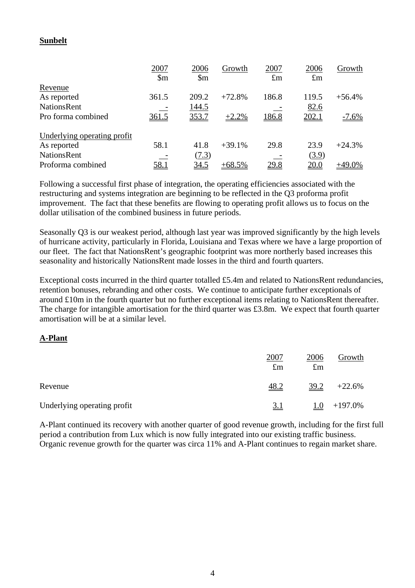## **Sunbelt**

|                             | 2007                   | 2006                   | Growth   | 2007         | 2006        | Growth    |
|-----------------------------|------------------------|------------------------|----------|--------------|-------------|-----------|
|                             | $\mathop{\mathrm{Sm}}$ | $\mathop{\mathrm{Sm}}$ |          | $\pounds$ m  | $\pounds$ m |           |
| Revenue                     |                        |                        |          |              |             |           |
| As reported                 | 361.5                  | 209.2                  | $+72.8%$ | 186.8        | 119.5       | $+56.4%$  |
| <b>NationsRent</b>          |                        | 144.5                  |          |              | 82.6        |           |
| Pro forma combined          | 361.5                  | 353.7                  | $+2.2%$  | <u>186.8</u> | 202.1       | $-7.6\%$  |
| Underlying operating profit |                        |                        |          |              |             |           |
| As reported                 | 58.1                   | 41.8                   | $+39.1%$ | 29.8         | 23.9        | $+24.3%$  |
| <b>NationsRent</b>          |                        | (7.3)                  |          |              | (3.9)       |           |
| Proforma combined           | 58.1                   | <u>34.5</u>            | $+68.5%$ | 29.8         | 20.0        | $+49.0\%$ |

Following a successful first phase of integration, the operating efficiencies associated with the restructuring and systems integration are beginning to be reflected in the Q3 proforma profit improvement. The fact that these benefits are flowing to operating profit allows us to focus on the dollar utilisation of the combined business in future periods.

Seasonally Q3 is our weakest period, although last year was improved significantly by the high levels of hurricane activity, particularly in Florida, Louisiana and Texas where we have a large proportion of our fleet. The fact that NationsRent's geographic footprint was more northerly based increases this seasonality and historically NationsRent made losses in the third and fourth quarters.

Exceptional costs incurred in the third quarter totalled £5.4m and related to NationsRent redundancies, retention bonuses, rebranding and other costs. We continue to anticipate further exceptionals of around £10m in the fourth quarter but no further exceptional items relating to NationsRent thereafter. The charge for intangible amortisation for the third quarter was £3.8m. We expect that fourth quarter amortisation will be at a similar level.

## **A-Plant**

|                             | 2007<br>$\pounds$ m | 2006<br>$\pounds$ m | Growth     |
|-----------------------------|---------------------|---------------------|------------|
| Revenue                     | $\underline{48.2}$  | 39.2                | $+22.6%$   |
| Underlying operating profit | <u>3.1</u>          | <u>1.0</u>          | $+197.0\%$ |

A-Plant continued its recovery with another quarter of good revenue growth, including for the first full period a contribution from Lux which is now fully integrated into our existing traffic business. Organic revenue growth for the quarter was circa 11% and A-Plant continues to regain market share.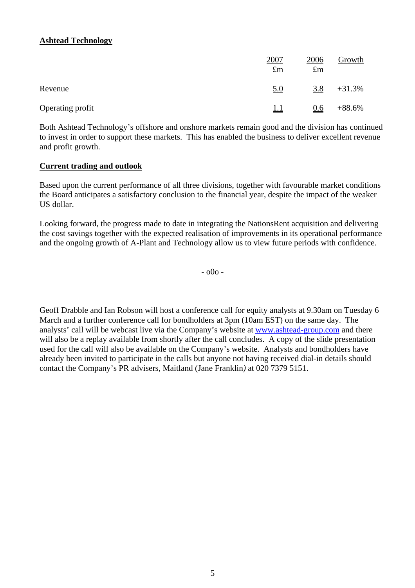# **Ashtead Technology**

|                  | 2007<br>$\pounds$ m | 2006<br>$\pounds$ m | Growth   |
|------------------|---------------------|---------------------|----------|
| Revenue          | <u>5.0</u>          | 3.8                 | $+31.3%$ |
| Operating profit | <u>1.1</u>          | 0.6                 | $+88.6%$ |

Both Ashtead Technology's offshore and onshore markets remain good and the division has continued to invest in order to support these markets. This has enabled the business to deliver excellent revenue and profit growth.

## **Current trading and outlook**

Based upon the current performance of all three divisions, together with favourable market conditions the Board anticipates a satisfactory conclusion to the financial year, despite the impact of the weaker US dollar.

Looking forward, the progress made to date in integrating the NationsRent acquisition and delivering the cost savings together with the expected realisation of improvements in its operational performance and the ongoing growth of A-Plant and Technology allow us to view future periods with confidence.

- o0o -

Geoff Drabble and Ian Robson will host a conference call for equity analysts at 9.30am on Tuesday 6 March and a further conference call for bondholders at 3pm (10am EST) on the same day. The analysts' call will be webcast live via the Company's website at [www.ashtead-group.com](http://www.ashtead-group.com/) and there will also be a replay available from shortly after the call concludes. A copy of the slide presentation used for the call will also be available on the Company's website. Analysts and bondholders have already been invited to participate in the calls but anyone not having received dial-in details should contact the Company's PR advisers, Maitland (Jane Franklin*)* at 020 7379 5151.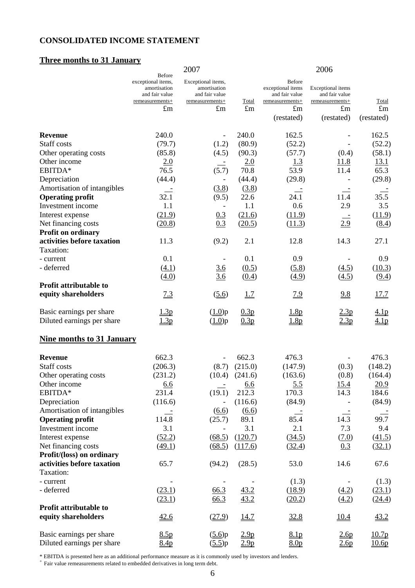# **CONSOLIDATED INCOME STATEMENT**

# **Three months to 31 January**

|                                                        |                                                                                                         | 2007                                                                                   |                      |                                                                                        | 2006                                                                  |                                 |
|--------------------------------------------------------|---------------------------------------------------------------------------------------------------------|----------------------------------------------------------------------------------------|----------------------|----------------------------------------------------------------------------------------|-----------------------------------------------------------------------|---------------------------------|
|                                                        | <b>Before</b><br>exceptional items,<br>amortisation<br>and fair value<br>remeasurements+<br>$\pounds$ m | Exceptional items,<br>amortisation<br>and fair value<br>remeasurements+<br>$\pounds$ m | Total<br>$\pounds$ m | <b>Before</b><br>exceptional items<br>and fair value<br>remeasurements+<br>$\pounds$ m | Exceptional items<br>and fair value<br>remeasurements+<br>$\pounds$ m | Total<br>$\pounds$ m            |
|                                                        |                                                                                                         |                                                                                        |                      | (restated)                                                                             | (restated)                                                            | (restated)                      |
| <b>Revenue</b>                                         | 240.0                                                                                                   |                                                                                        | 240.0                | 162.5                                                                                  |                                                                       | 162.5                           |
| Staff costs                                            | (79.7)                                                                                                  | (1.2)                                                                                  | (80.9)               | (52.2)                                                                                 |                                                                       | (52.2)                          |
| Other operating costs                                  | (85.8)                                                                                                  | (4.5)                                                                                  | (90.3)               | (57.7)                                                                                 | (0.4)                                                                 | (58.1)                          |
| Other income                                           | 2.0                                                                                                     |                                                                                        | 2.0                  | 1.3                                                                                    | 11.8                                                                  | 13.1                            |
| EBITDA*                                                | 76.5                                                                                                    | (5.7)                                                                                  | 70.8                 | 53.9                                                                                   | 11.4                                                                  | 65.3                            |
| Depreciation                                           | (44.4)                                                                                                  |                                                                                        | (44.4)               | (29.8)                                                                                 |                                                                       | (29.8)                          |
| Amortisation of intangibles                            |                                                                                                         | (3.8)                                                                                  | (3.8)                |                                                                                        |                                                                       |                                 |
| <b>Operating profit</b>                                | 32.1                                                                                                    | (9.5)                                                                                  | 22.6                 | 24.1                                                                                   | 11.4                                                                  | 35.5                            |
| Investment income                                      | 1.1                                                                                                     |                                                                                        | 1.1                  | 0.6                                                                                    | 2.9                                                                   | 3.5                             |
| Interest expense                                       | (21.9)                                                                                                  | 0.3                                                                                    | (21.6)               | (11.9)                                                                                 |                                                                       | (11.9)                          |
| Net financing costs                                    | (20.8)                                                                                                  | 0.3                                                                                    | (20.5)               | (11.3)                                                                                 | 2.9                                                                   | (8.4)                           |
| Profit on ordinary                                     |                                                                                                         |                                                                                        |                      |                                                                                        |                                                                       |                                 |
| activities before taxation<br>Taxation:                | 11.3                                                                                                    | (9.2)                                                                                  | 2.1                  | 12.8                                                                                   | 14.3                                                                  | 27.1                            |
| - current                                              | 0.1                                                                                                     | $\qquad \qquad \blacksquare$                                                           | 0.1                  | 0.9                                                                                    |                                                                       | 0.9                             |
| - deferred                                             | (4.1)                                                                                                   | 3.6                                                                                    | (0.5)                | (5.8)                                                                                  | (4.5)                                                                 | (10.3)                          |
|                                                        | (4.0)                                                                                                   | 3.6                                                                                    | (0.4)                | (4.9)                                                                                  | (4.5)                                                                 | (9.4)                           |
| Profit attributable to                                 |                                                                                                         |                                                                                        |                      |                                                                                        |                                                                       |                                 |
| equity shareholders                                    | 7.3                                                                                                     | (5.6)                                                                                  | <u>1.7</u>           | <u>7.9</u>                                                                             | 9.8                                                                   | 17.7                            |
| Basic earnings per share<br>Diluted earnings per share | 1.3p<br>1.3p                                                                                            | (1.0)p<br>$(\underline{1.0})p$                                                         | 0.3p<br>0.3p         | 1.8p<br>1.8p                                                                           | 2.3p<br>2.3p                                                          | <u>4.1p</u><br>4.1 <sub>p</sub> |
| <b>Nine months to 31 January</b>                       |                                                                                                         |                                                                                        |                      |                                                                                        |                                                                       |                                 |
|                                                        |                                                                                                         |                                                                                        |                      |                                                                                        |                                                                       |                                 |
| <b>Revenue</b>                                         | 662.3                                                                                                   |                                                                                        | 662.3                | 476.3                                                                                  |                                                                       | 476.3                           |
| Staff costs                                            | (206.3)                                                                                                 | (8.7)                                                                                  | (215.0)              | (147.9)                                                                                | (0.3)                                                                 | (148.2)                         |
| Other operating costs                                  | (231.2)                                                                                                 | (10.4)                                                                                 | (241.6)              | (163.6)                                                                                | (0.8)                                                                 | (164.4)                         |
| Other income                                           | 6.6                                                                                                     |                                                                                        | 6.6                  | 5.5                                                                                    | 15.4                                                                  | 20.9                            |
| EBITDA*                                                | 231.4                                                                                                   | (19.1)                                                                                 | 212.3                | 170.3                                                                                  | 14.3                                                                  | 184.6                           |
| Depreciation                                           | (116.6)                                                                                                 |                                                                                        | (116.6)              | (84.9)                                                                                 |                                                                       | (84.9)                          |
| Amortisation of intangibles                            | $\equiv$                                                                                                | (6.6)                                                                                  | (6.6)                | $\equiv$                                                                               |                                                                       |                                 |
| <b>Operating profit</b>                                | 114.8                                                                                                   | (25.7)                                                                                 | 89.1                 | 85.4                                                                                   | 14.3                                                                  | 99.7                            |
| Investment income                                      | 3.1                                                                                                     |                                                                                        | 3.1                  | 2.1                                                                                    | 7.3                                                                   | 9.4                             |
| Interest expense                                       | (52.2)                                                                                                  | (68.5)                                                                                 | (120.7)              | (34.5)                                                                                 | (7.0)                                                                 | (41.5)                          |
| Net financing costs                                    | (49.1)                                                                                                  | (68.5)                                                                                 | (117.6)              | (32.4)                                                                                 | 0.3                                                                   | (32.1)                          |
| Profit/(loss) on ordinary                              |                                                                                                         |                                                                                        |                      |                                                                                        |                                                                       |                                 |
| activities before taxation<br>Taxation:                | 65.7                                                                                                    | (94.2)                                                                                 | (28.5)               | 53.0                                                                                   | 14.6                                                                  | 67.6                            |
| - current                                              |                                                                                                         |                                                                                        |                      | (1.3)                                                                                  |                                                                       | (1.3)                           |
| - deferred                                             | (23.1)                                                                                                  | 66.3                                                                                   | 43.2                 | (18.9)                                                                                 | (4.2)                                                                 | (23.1)                          |
|                                                        | (23.1)                                                                                                  | 66.3                                                                                   | 43.2                 | (20.2)                                                                                 | (4.2)                                                                 | (24.4)                          |
| Profit attributable to                                 |                                                                                                         |                                                                                        |                      |                                                                                        |                                                                       |                                 |
| equity shareholders                                    | 42.6                                                                                                    | (27.9)                                                                                 | 14.7                 | 32.8                                                                                   | 10.4                                                                  | 43.2                            |
| Basic earnings per share                               | 8.5p                                                                                                    | (5.6)p                                                                                 | 2.9 <sub>p</sub>     | 8.1 <sub>p</sub>                                                                       | 2.6 <sub>p</sub>                                                      | 10.7 <sub>p</sub>               |
| Diluted earnings per share                             | 8.4p                                                                                                    | $(\underline{5.5})p$                                                                   | 2.9 <sub>p</sub>     | 8.0 <sub>p</sub>                                                                       | 2.6p                                                                  | 10.6 <sub>p</sub>               |

\* EBITDA is presented here as an additional performance measure as it is commonly used by investors and lenders. + Fair value remeasurements related to embedded derivatives in long term debt.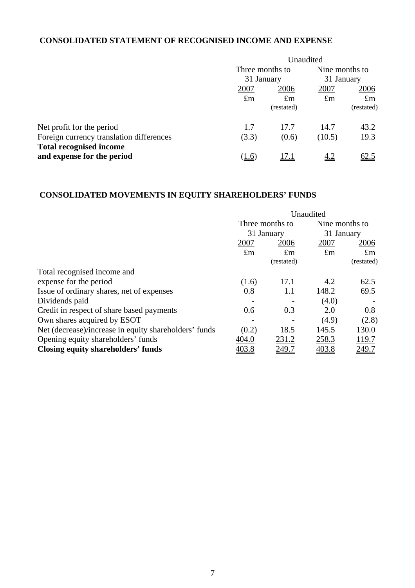# **CONSOLIDATED STATEMENT OF RECOGNISED INCOME AND EXPENSE**

|                                          | Unaudited                     |             |                              |             |
|------------------------------------------|-------------------------------|-------------|------------------------------|-------------|
|                                          | Three months to<br>31 January |             | Nine months to<br>31 January |             |
|                                          |                               |             |                              |             |
|                                          | 2007                          | 2006        | 2007                         | 2006        |
|                                          | $\pounds$ m                   | $\pounds$ m | $\pounds$ m                  | $\pounds$ m |
|                                          |                               | (restated)  |                              | (restated)  |
| Net profit for the period                | 1.7                           | 17.7        | 14.7                         | 43.2        |
| Foreign currency translation differences | (3.3)                         | (0.6)       | (10.5)                       | 19.3        |
| <b>Total recognised income</b>           |                               |             |                              |             |
| and expense for the period               | (1.6)                         | 17.1        | 4.2                          | 62.5        |

# **CONSOLIDATED MOVEMENTS IN EQUITY SHAREHOLDERS' FUNDS**

|                                                       | Unaudited       |             |                     |             |
|-------------------------------------------------------|-----------------|-------------|---------------------|-------------|
|                                                       | Three months to |             | Nine months to      |             |
|                                                       |                 | 31 January  | 31 January          |             |
|                                                       | 2007            | 2006        | 2007                | 2006        |
|                                                       | $\pounds$ m     | $\pounds$ m | $\pounds$ m         | $\pounds$ m |
|                                                       |                 | (restated)  |                     | (restated)  |
| Total recognised income and                           |                 |             |                     |             |
| expense for the period                                | (1.6)           | 17.1        | 4.2                 | 62.5        |
| Issue of ordinary shares, net of expenses             | 0.8             | 1.1         | 148.2               | 69.5        |
| Dividends paid                                        |                 |             | (4.0)               |             |
| Credit in respect of share based payments             | 0.6             | 0.3         | 2.0                 | 0.8         |
| Own shares acquired by ESOT                           |                 |             | $\left( 4.9\right)$ | (2.8)       |
| Net (decrease)/increase in equity shareholders' funds | (0.2)           | 18.5        | 145.5               | 130.0       |
| Opening equity shareholders' funds                    | 404.0           | 231.2       | 258.3               | 119.7       |
| Closing equity shareholders' funds                    | 403.8           | 249.7       | 403.8               | 249.7       |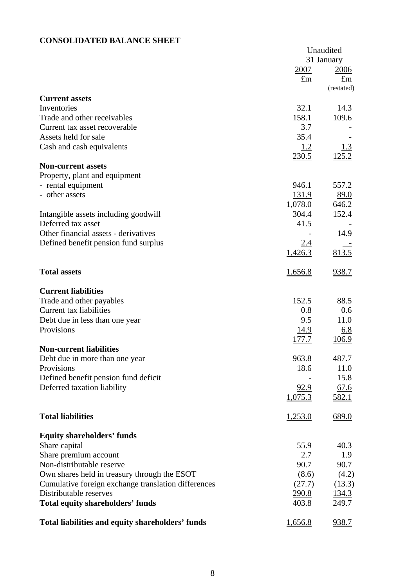# **CONSOLIDATED BALANCE SHEET**

|                                                     |                         | Unaudited     |
|-----------------------------------------------------|-------------------------|---------------|
|                                                     |                         | 31 January    |
|                                                     | 2007                    | 2006          |
|                                                     | $\pounds$ m             | $\pounds$ m   |
|                                                     |                         | (restated)    |
| <b>Current assets</b>                               |                         |               |
| Inventories                                         | 32.1                    | 14.3          |
| Trade and other receivables                         | 158.1                   | 109.6         |
| Current tax asset recoverable                       | 3.7                     |               |
| Assets held for sale                                | 35.4                    |               |
| Cash and cash equivalents                           | <u>1.2</u>              | <u>1.3</u>    |
|                                                     | 230.5                   | 125.2         |
| <b>Non-current assets</b>                           |                         |               |
| Property, plant and equipment                       | 946.1                   | 557.2         |
| - rental equipment<br>- other assets                |                         |               |
|                                                     | <u>131.9</u><br>1,078.0 | 89.0<br>646.2 |
| Intangible assets including goodwill                | 304.4                   | 152.4         |
| Deferred tax asset                                  | 41.5                    |               |
| Other financial assets - derivatives                |                         | 14.9          |
| Defined benefit pension fund surplus                | 2.4                     |               |
|                                                     | 1,426.3                 | 813.5         |
|                                                     |                         |               |
| <b>Total assets</b>                                 | 1,656.8                 | 938.7         |
| <b>Current liabilities</b>                          |                         |               |
| Trade and other payables                            | 152.5                   | 88.5          |
| Current tax liabilities                             | 0.8                     | 0.6           |
| Debt due in less than one year                      | 9.5                     | 11.0          |
| Provisions                                          | <u>14.9</u>             | <u>6.8</u>    |
|                                                     | <u>177.7</u>            | 106.9         |
| <b>Non-current liabilities</b>                      |                         |               |
| Debt due in more than one year                      | 963.8                   | 487.7         |
| Provisions                                          | 18.6                    | 11.0          |
| Defined benefit pension fund deficit                |                         | 15.8          |
| Deferred taxation liability                         | 92.9                    | 67.6          |
|                                                     | 1,075.3                 | 582.1         |
| <b>Total liabilities</b>                            | 1,253.0                 | 689.0         |
|                                                     |                         |               |
| <b>Equity shareholders' funds</b>                   |                         |               |
| Share capital                                       | 55.9                    | 40.3          |
| Share premium account                               | 2.7                     | 1.9           |
| Non-distributable reserve                           | 90.7                    | 90.7          |
| Own shares held in treasury through the ESOT        | (8.6)                   | (4.2)         |
| Cumulative foreign exchange translation differences | (27.7)                  | (13.3)        |
| Distributable reserves                              | <u>290.8</u>            | <u>134.3</u>  |
| <b>Total equity shareholders' funds</b>             | 403.8                   | <u>249.7</u>  |
| Total liabilities and equity shareholders' funds    | 1,656.8                 | 938.7         |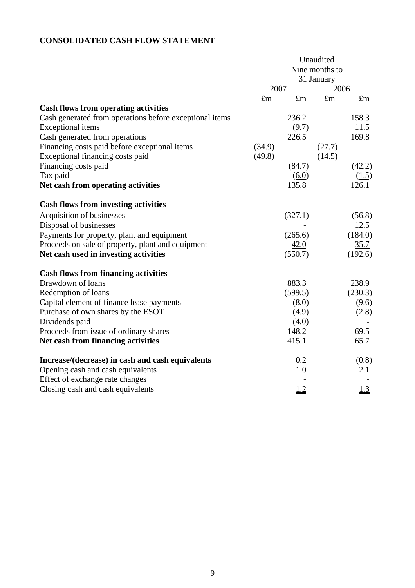# **CONSOLIDATED CASH FLOW STATEMENT**

|                                                         |             |              | Unaudited      |             |
|---------------------------------------------------------|-------------|--------------|----------------|-------------|
|                                                         |             |              | Nine months to |             |
|                                                         |             |              | 31 January     |             |
|                                                         | 2007        |              | 2006           |             |
|                                                         | $\pounds$ m | $\pounds$ m  | $\pounds$ m    | $\pounds$ m |
| <b>Cash flows from operating activities</b>             |             |              |                |             |
| Cash generated from operations before exceptional items |             | 236.2        |                | 158.3       |
| <b>Exceptional</b> items                                |             | (9.7)        |                | 11.5        |
| Cash generated from operations                          |             | 226.5        |                | 169.8       |
| Financing costs paid before exceptional items           | (34.9)      |              | (27.7)         |             |
| Exceptional financing costs paid                        | (49.8)      |              | (14.5)         |             |
| Financing costs paid                                    |             | (84.7)       |                | (42.2)      |
| Tax paid                                                |             | (6.0)        |                | (1.5)       |
| Net cash from operating activities                      |             | <u>135.8</u> |                | 126.1       |
| <b>Cash flows from investing activities</b>             |             |              |                |             |
| Acquisition of businesses                               |             | (327.1)      |                | (56.8)      |
| Disposal of businesses                                  |             |              |                | 12.5        |
| Payments for property, plant and equipment              |             | (265.6)      |                | (184.0)     |
| Proceeds on sale of property, plant and equipment       |             | 42.0         |                | 35.7        |
| Net cash used in investing activities                   |             | (550.7)      |                | (192.6)     |
| <b>Cash flows from financing activities</b>             |             |              |                |             |
| Drawdown of loans                                       |             | 883.3        |                | 238.9       |
| Redemption of loans                                     |             | (599.5)      |                | (230.3)     |
| Capital element of finance lease payments               |             | (8.0)        |                | (9.6)       |
| Purchase of own shares by the ESOT                      |             | (4.9)        |                | (2.8)       |
| Dividends paid                                          |             | (4.0)        |                |             |
| Proceeds from issue of ordinary shares                  |             | 148.2        |                | 69.5        |
| Net cash from financing activities                      |             | 415.1        |                | 65.7        |
| Increase/(decrease) in cash and cash equivalents        |             | 0.2          |                | (0.8)       |
| Opening cash and cash equivalents                       |             | 1.0          |                | 2.1         |
| Effect of exchange rate changes                         |             |              |                |             |
| Closing cash and cash equivalents                       |             | 1.2          |                | 1.3         |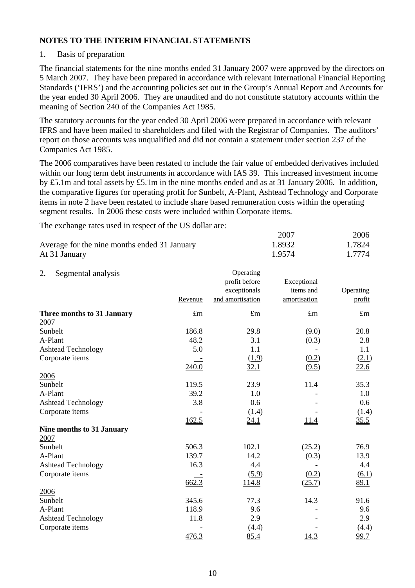## 1. Basis of preparation

The financial statements for the nine months ended 31 January 2007 were approved by the directors on 5 March 2007. They have been prepared in accordance with relevant International Financial Reporting Standards ('IFRS') and the accounting policies set out in the Group's Annual Report and Accounts for the year ended 30 April 2006. They are unaudited and do not constitute statutory accounts within the meaning of Section 240 of the Companies Act 1985.

The statutory accounts for the year ended 30 April 2006 were prepared in accordance with relevant IFRS and have been mailed to shareholders and filed with the Registrar of Companies. The auditors' report on those accounts was unqualified and did not contain a statement under section 237 of the Companies Act 1985.

The 2006 comparatives have been restated to include the fair value of embedded derivatives included within our long term debt instruments in accordance with IAS 39. This increased investment income by £5.1m and total assets by £5.1m in the nine months ended and as at 31 January 2006. In addition, the comparative figures for operating profit for Sunbelt, A-Plant, Ashtead Technology and Corporate items in note 2 have been restated to include share based remuneration costs within the operating segment results. In 2006 these costs were included within Corporate items.

The exchange rates used in respect of the US dollar are:

|                                              | 2007   | <u> 2006 </u> |
|----------------------------------------------|--------|---------------|
| Average for the nine months ended 31 January | 1.8932 | 1.7824        |
| At 31 January                                | 1.9574 | 1.7774        |

| 2.<br>Segmental analysis         |             | Operating        |              |             |
|----------------------------------|-------------|------------------|--------------|-------------|
|                                  |             | profit before    | Exceptional  |             |
|                                  |             | exceptionals     | items and    | Operating   |
|                                  | Revenue     | and amortisation | amortisation | profit      |
| Three months to 31 January       | $\pounds$ m | $\pounds$ m      | $\pounds$ m  | $\pounds$ m |
| 2007                             |             |                  |              |             |
| Sunbelt                          | 186.8       | 29.8             | (9.0)        | 20.8        |
| A-Plant                          | 48.2        | 3.1              | (0.3)        | 2.8         |
| <b>Ashtead Technology</b>        | 5.0         | 1.1              |              | 1.1         |
| Corporate items                  |             | (1.9)            | (0.2)        | (2.1)       |
|                                  | 240.0       | 32.1             | (9.5)        | 22.6        |
| 2006                             |             |                  |              |             |
| Sunbelt                          | 119.5       | 23.9             | 11.4         | 35.3        |
| A-Plant                          | 39.2        | 1.0              |              | 1.0         |
| <b>Ashtead Technology</b>        | 3.8         | 0.6              |              | 0.6         |
| Corporate items                  |             | (1.4)            |              | (1.4)       |
|                                  | 162.5       | <u>24.1</u>      |              | 35.5        |
| <b>Nine months to 31 January</b> |             |                  |              |             |
| 2007                             |             |                  |              |             |
| Sunbelt                          | 506.3       | 102.1            | (25.2)       | 76.9        |
| A-Plant                          | 139.7       | 14.2             | (0.3)        | 13.9        |
| <b>Ashtead Technology</b>        | 16.3        | 4.4              |              | 4.4         |
| Corporate items                  |             | (5.9)            | (0.2)        | (6.1)       |
|                                  | 662.3       | 114.8            | (25.7)       | 89.1        |
| 2006                             |             |                  |              |             |
| Sunbelt                          | 345.6       | 77.3             | 14.3         | 91.6        |
| A-Plant                          | 118.9       | 9.6              |              | 9.6         |
| <b>Ashtead Technology</b>        | 11.8        | 2.9              |              | 2.9         |
| Corporate items                  |             | (4.4)            |              | (4.4)       |
|                                  | 476.3       | 85.4             | 14.3         | 99.7        |
|                                  |             |                  |              |             |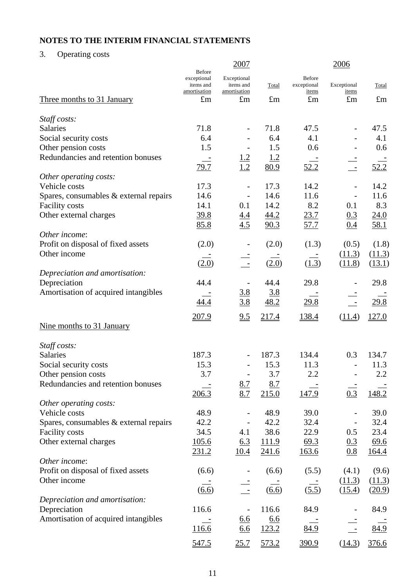3. Operating costs

|                                          |                                                           | 2007                                     |                     |                                | 2006                     |              |
|------------------------------------------|-----------------------------------------------------------|------------------------------------------|---------------------|--------------------------------|--------------------------|--------------|
|                                          | <b>Before</b><br>exceptional<br>items and<br>amortisation | Exceptional<br>items and<br>amortisation | Total               | Before<br>exceptional<br>items | Exceptional<br>items     | Total        |
| <u>Three months to 31 January</u>        | $\pounds$ m                                               | $\pounds$ m                              | $\pounds$ m         | $\pounds$ m                    | $\pounds$ m              | $\pounds$ m  |
| Staff costs:                             |                                                           |                                          |                     |                                |                          |              |
| <b>Salaries</b>                          | 71.8                                                      |                                          | 71.8                | 47.5                           |                          | 47.5         |
| Social security costs                    | 6.4                                                       |                                          | 6.4                 | 4.1                            |                          | 4.1          |
| Other pension costs                      | 1.5                                                       |                                          | 1.5                 | 0.6                            |                          | 0.6          |
| Redundancies and retention bonuses       | $\equiv$                                                  | 1.2                                      | 1.2                 |                                |                          |              |
|                                          | 79.7                                                      | 1.2                                      | 80.9                | 52.2                           | $\equiv$                 | 52.2         |
| Other operating costs:                   |                                                           |                                          |                     |                                |                          |              |
| Vehicle costs                            | 17.3                                                      |                                          | 17.3                | 14.2                           | $\overline{\phantom{0}}$ | 14.2         |
| Spares, consumables & external repairs   | 14.6                                                      |                                          | 14.6                | 11.6                           |                          | 11.6         |
| <b>Facility costs</b>                    | 14.1                                                      | 0.1                                      | 14.2                | 8.2                            | 0.1                      | 8.3          |
| Other external charges                   | 39.8                                                      | $\frac{4.4}{4.5}$                        | <u>44.2</u><br>90.3 | 23.7<br>57.7                   | 0.3<br>0.4               | 24.0<br>58.1 |
| Other income:                            | 85.8                                                      |                                          |                     |                                |                          |              |
| Profit on disposal of fixed assets       | (2.0)                                                     |                                          | (2.0)               | (1.3)                          | (0.5)                    | (1.8)        |
| Other income                             |                                                           |                                          |                     |                                | (11.3)                   | (11.3)       |
|                                          | (2.0)                                                     |                                          | (2.0)               | (1.3)                          | (11.8)                   | (13.1)       |
| Depreciation and amortisation:           |                                                           |                                          |                     |                                |                          |              |
| Depreciation                             | 44.4                                                      |                                          | 44.4                | 29.8                           |                          | 29.8         |
| Amortisation of acquired intangibles     |                                                           | <u>3.8</u>                               | 3.8                 |                                |                          |              |
|                                          | 44.4                                                      | 3.8                                      | 48.2                | 29.8                           | $\equiv$                 | 29.8         |
|                                          | 207.9                                                     | 2.5                                      | 217.4               | 138.4                          | (11.4)                   | 127.0        |
| Nine months to 31 January                |                                                           |                                          |                     |                                |                          |              |
|                                          |                                                           |                                          |                     |                                |                          |              |
| Staff costs:<br>Salaries                 | 187.3                                                     |                                          | 187.3               | 134.4                          | 0.3                      | 134.7        |
| Social security costs                    | 15.3                                                      | $\qquad \qquad \blacksquare$             | 15.3                | 11.3                           | $\frac{1}{2}$            | 11.3         |
| Other pension costs                      | 3.7                                                       |                                          | 3.7                 | 2.2                            |                          | 2.2          |
| Redundancies and retention bonuses       |                                                           | <u>8.7</u>                               | 8.7                 |                                |                          |              |
|                                          | 206.3                                                     | 8.7                                      | 215.0               | 147.9                          | 0.3                      | 148.2        |
| Other operating costs:                   |                                                           |                                          |                     |                                |                          |              |
| Vehicle costs                            | 48.9                                                      |                                          | 48.9                | 39.0                           |                          | 39.0         |
| Spares, consumables $&$ external repairs | 42.2                                                      |                                          | 42.2                | 32.4                           |                          | 32.4         |
| <b>Facility costs</b>                    | 34.5                                                      | 4.1                                      | 38.6                | 22.9                           | 0.5                      | 23.4         |
| Other external charges                   | 105.6                                                     | 6.3                                      | 111.9               | 69.3                           | 0.3                      | 69.6         |
|                                          | <u>231.2</u>                                              | <u>10.4</u>                              | <u>241.6</u>        | <u>163.6</u>                   | 0.8                      | <u>164.4</u> |
| Other income:                            |                                                           |                                          |                     |                                |                          |              |
| Profit on disposal of fixed assets       | (6.6)                                                     |                                          | (6.6)               | (5.5)                          | (4.1)                    | (9.6)        |
| Other income                             |                                                           |                                          |                     |                                | (11.3)                   | (11.3)       |
|                                          | (6.6)                                                     |                                          | (6.6)               | (5.5)                          | (15.4)                   | (20.9)       |
| Depreciation and amortisation:           |                                                           |                                          |                     |                                |                          |              |
| Depreciation                             | 116.6                                                     |                                          | 116.6               | 84.9                           |                          | 84.9         |
| Amortisation of acquired intangibles     |                                                           | <u>6.6</u>                               | 6.6                 |                                |                          |              |
|                                          | 116.6                                                     | 6.6                                      | 123.2               | 84.9                           |                          | 84.9         |
|                                          | 547.5                                                     | 25.7                                     | 573.2               | 390.9                          | (14.3)                   | 376.6        |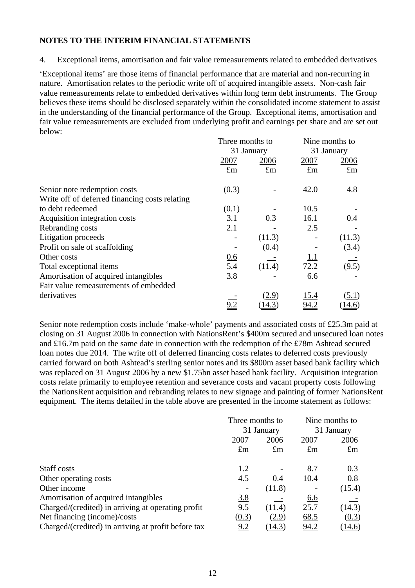4. Exceptional items, amortisation and fair value remeasurements related to embedded derivatives

'Exceptional items' are those items of financial performance that are material and non-recurring in nature. Amortisation relates to the periodic write off of acquired intangible assets. Non-cash fair value remeasurements relate to embedded derivatives within long term debt instruments. The Group believes these items should be disclosed separately within the consolidated income statement to assist in the understanding of the financial performance of the Group.Exceptional items, amortisation and fair value remeasurements are excluded from underlying profit and earnings per share and are set out below:

|                                                | Three months to |             | Nine months to |               |  |
|------------------------------------------------|-----------------|-------------|----------------|---------------|--|
|                                                |                 | 31 January  |                | 31 January    |  |
|                                                | 2007            | 2006        | 2007           | 2006          |  |
|                                                | $\pounds$ m     | $\pounds$ m | $\pounds$ m    | $\pounds$ m   |  |
| Senior note redemption costs                   | (0.3)           |             | 42.0           | 4.8           |  |
| Write off of deferred financing costs relating |                 |             |                |               |  |
| to debt redeemed                               | (0.1)           |             | 10.5           |               |  |
| Acquisition integration costs                  | 3.1             | 0.3         | 16.1           | 0.4           |  |
| Rebranding costs                               | 2.1             |             | 2.5            |               |  |
| Litigation proceeds                            |                 | (11.3)      |                | (11.3)        |  |
| Profit on sale of scaffolding                  |                 | (0.4)       |                | (3.4)         |  |
| Other costs                                    | 0.6             |             | <u>1.1</u>     |               |  |
| Total exceptional items                        | 5.4             | (11.4)      | 72.2           | (9.5)         |  |
| Amortisation of acquired intangibles           | 3.8             |             | 6.6            |               |  |
| Fair value remeasurements of embedded          |                 |             |                |               |  |
| derivatives                                    |                 | (2.9)       | <u>15.4</u>    | (5.1)         |  |
|                                                | 9.2             | (14.3)      | 94.2           | <u>14.6</u> ) |  |

Senior note redemption costs include 'make-whole' payments and associated costs of £25.3m paid at closing on 31 August 2006 in connection with NationsRent's \$400m secured and unsecured loan notes and £16.7m paid on the same date in connection with the redemption of the £78m Ashtead secured loan notes due 2014. The write off of deferred financing costs relates to deferred costs previously carried forward on both Ashtead's sterling senior notes and its \$800m asset based bank facility which was replaced on 31 August 2006 by a new \$1.75bn asset based bank facility. Acquisition integration costs relate primarily to employee retention and severance costs and vacant property costs following the NationsRent acquisition and rebranding relates to new signage and painting of former NationsRent equipment. The items detailed in the table above are presented in the income statement as follows:

|                                                     | Three months to |             |             | Nine months to |
|-----------------------------------------------------|-----------------|-------------|-------------|----------------|
|                                                     |                 | 31 January  |             | 31 January     |
|                                                     | 2007            | 2006        | 2007        | 2006           |
|                                                     | $\pounds$ m     | $\pounds$ m | $\pounds$ m | $\pounds$ m    |
| Staff costs                                         | 1.2             |             | 8.7         | 0.3            |
| Other operating costs                               | 4.5             | 0.4         | 10.4        | 0.8            |
| Other income                                        |                 | (11.8)      |             | (15.4)         |
| Amortisation of acquired intangibles                | 3.8             |             | <u>6.6</u>  |                |
| Charged/(credited) in arriving at operating profit  | 9.5             | (11.4)      | 25.7        | (14.3)         |
| Net financing (income)/costs                        | (0.3)           | (2.9)       | 68.5        | (0.3)          |
| Charged/(credited) in arriving at profit before tax | <u>9.2</u>      | (14.3)      | <u>94.2</u> | (14.6)         |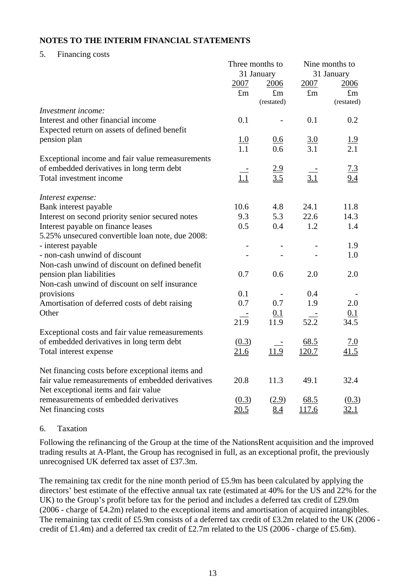## 5. Financing costs

|                                                   | Three months to   |                          | Nine months to    |                   |
|---------------------------------------------------|-------------------|--------------------------|-------------------|-------------------|
|                                                   |                   | 31 January               |                   | 31 January        |
|                                                   | 2007              | 2006                     | 2007              | 2006              |
|                                                   | $\pounds$ m       | $\pounds$ m              | $\pounds$ m       | $\pounds$ m       |
|                                                   |                   | (restated)               |                   | (restated)        |
| Investment income:                                |                   |                          |                   |                   |
| Interest and other financial income               | 0.1               |                          | 0.1               | 0.2               |
| Expected return on assets of defined benefit      |                   |                          |                   |                   |
| pension plan                                      | $\frac{1.0}{1.1}$ | 0.6                      | $\frac{3.0}{3.1}$ | $\frac{1.9}{2.1}$ |
|                                                   |                   | 0.6                      |                   |                   |
| Exceptional income and fair value remeasurements  |                   |                          |                   |                   |
| of embedded derivatives in long term debt         |                   |                          |                   | <u>7.3</u>        |
| Total investment income                           | $\frac{1}{1.1}$   | $\frac{2.9}{3.5}$        | 3.1               | 9.4               |
| Interest expense:                                 |                   |                          |                   |                   |
| Bank interest payable                             | 10.6              | 4.8                      | 24.1              | 11.8              |
| Interest on second priority senior secured notes  | 9.3               | 5.3                      | 22.6              | 14.3              |
| Interest payable on finance leases                | 0.5               | 0.4                      | 1.2               | 1.4               |
| 5.25% unsecured convertible loan note, due 2008:  |                   |                          |                   |                   |
| - interest payable                                |                   |                          |                   | 1.9               |
| - non-cash unwind of discount                     |                   |                          |                   | 1.0               |
| Non-cash unwind of discount on defined benefit    |                   |                          |                   |                   |
| pension plan liabilities                          | 0.7               | 0.6                      | 2.0               | 2.0               |
| Non-cash unwind of discount on self insurance     |                   |                          |                   |                   |
| provisions                                        | 0.1               | $\overline{\phantom{a}}$ | 0.4               |                   |
| Amortisation of deferred costs of debt raising    | 0.7               | 0.7                      | 1.9               | 2.0               |
| Other                                             |                   | 0.1                      |                   | 0.1               |
|                                                   | 21.9              | 11.9                     | 52.2              | 34.5              |
| Exceptional costs and fair value remeasurements   |                   |                          |                   |                   |
| of embedded derivatives in long term debt         | (0.3)             |                          | 68.5              | 7.0               |
| Total interest expense                            | 21.6              | 11.9                     | <u>120.7</u>      | 41.5              |
| Net financing costs before exceptional items and  |                   |                          |                   |                   |
| fair value remeasurements of embedded derivatives | 20.8              | 11.3                     | 49.1              | 32.4              |
| Net exceptional items and fair value              |                   |                          |                   |                   |
| remeasurements of embedded derivatives            | (0.3)             | (2.9)                    | 68.5              | (0.3)             |
| Net financing costs                               | 20.5              | 8.4                      | 117.6             | 32.1              |

## 6. Taxation

Following the refinancing of the Group at the time of the NationsRent acquisition and the improved trading results at A-Plant, the Group has recognised in full, as an exceptional profit, the previously unrecognised UK deferred tax asset of £37.3m.

The remaining tax credit for the nine month period of £5.9m has been calculated by applying the directors' best estimate of the effective annual tax rate (estimated at 40% for the US and 22% for the UK) to the Group's profit before tax for the period and includes a deferred tax credit of £29.0m (2006 - charge of £4.2m) related to the exceptional items and amortisation of acquired intangibles. The remaining tax credit of £5.9m consists of a deferred tax credit of £3.2m related to the UK (2006 credit of £1.4m) and a deferred tax credit of £2.7m related to the US (2006 - charge of £5.6m).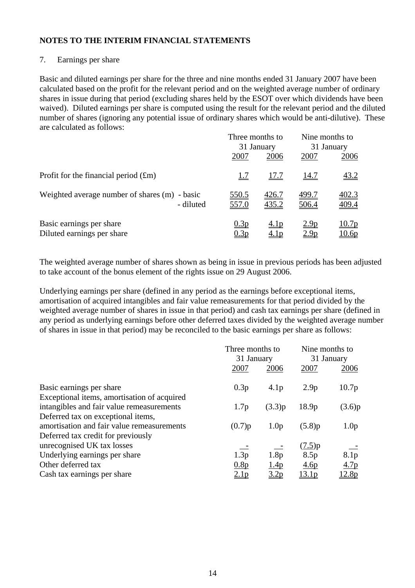### 7. Earnings per share

Basic and diluted earnings per share for the three and nine months ended 31 January 2007 have been calculated based on the profit for the relevant period and on the weighted average number of ordinary shares in issue during that period (excluding shares held by the ESOT over which dividends have been waived). Diluted earnings per share is computed using the result for the relevant period and the diluted number of shares (ignoring any potential issue of ordinary shares which would be anti-dilutive). These are calculated as follows:

|                                                            |                       | Three months to<br>31 January |                                 | Nine months to<br>31 January |
|------------------------------------------------------------|-----------------------|-------------------------------|---------------------------------|------------------------------|
|                                                            | 2007                  | 2006                          | 2007                            | 2006                         |
| Profit for the financial period $(fm)$                     | <u>1.7</u>            | <u>17.7</u>                   | <u>14.7</u>                     | <u>43.2</u>                  |
| Weighted average number of shares (m) - basic<br>- diluted | <u>550.5</u><br>557.0 | <u>426.7</u><br>435.2         | <u>499.7</u><br>506.4           | 402.3<br>409.4               |
| Basic earnings per share<br>Diluted earnings per share     | 0.3p<br>0.3p          | <u>4.1p</u><br><u>4.1p</u>    | 2.9 <sub>p</sub><br><u>2.9p</u> | 10.7p<br>10.6p               |

The weighted average number of shares shown as being in issue in previous periods has been adjusted to take account of the bonus element of the rights issue on 29 August 2006.

Underlying earnings per share (defined in any period as the earnings before exceptional items, amortisation of acquired intangibles and fair value remeasurements for that period divided by the weighted average number of shares in issue in that period) and cash tax earnings per share (defined in any period as underlying earnings before other deferred taxes divided by the weighted average number of shares in issue in that period) may be reconciled to the basic earnings per share as follows:

|                                             | Three months to |                  | Nine months to    |                  |
|---------------------------------------------|-----------------|------------------|-------------------|------------------|
|                                             | 31 January      |                  | 31 January        |                  |
|                                             | 2007            | 2006             | 2007              | 2006             |
| Basic earnings per share                    | 0.3p            | 4.1 <sub>p</sub> | 2.9 <sub>p</sub>  | 10.7p            |
| Exceptional items, amortisation of acquired |                 |                  |                   |                  |
| intangibles and fair value remeasurements   | 1.7p            | (3.3)p           | 18.9 <sub>p</sub> | (3.6)p           |
| Deferred tax on exceptional items,          |                 |                  |                   |                  |
| amortisation and fair value remeasurements  | (0.7)p          | 1.0 <sub>p</sub> | (5.8)p            | 1.0 <sub>p</sub> |
| Deferred tax credit for previously          |                 |                  |                   |                  |
| unrecognised UK tax losses                  |                 |                  | (7.5)p            |                  |
| Underlying earnings per share               | 1.3p            | 1.8p             | 8.5p              | 8.1 <sub>p</sub> |
| Other deferred tax                          | 0.8p            | 1.4 <sub>p</sub> | 4.6p              | 4.7p             |
| Cash tax earnings per share                 | <u>2.1p</u>     | <u>3.2p</u>      | 13.1 <sub>p</sub> | 12.8p            |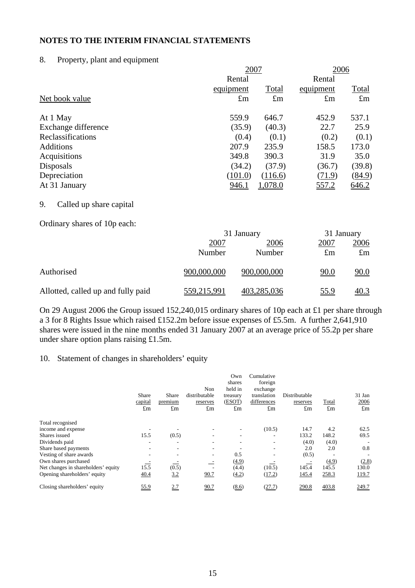#### 8. Property, plant and equipment

|                     |              | 2007           |             |              |
|---------------------|--------------|----------------|-------------|--------------|
|                     | Rental       |                | Rental      |              |
|                     | equipment    | Total          | equipment   | <b>Total</b> |
| Net book value      | $\pounds$ m  | $\pounds$ m    | $\pounds$ m | $\pounds$ m  |
| At 1 May            | 559.9        | 646.7          | 452.9       | 537.1        |
| Exchange difference | (35.9)       | (40.3)         | 22.7        | 25.9         |
| Reclassifications   | (0.4)        | (0.1)          | (0.2)       | (0.1)        |
| <b>Additions</b>    | 207.9        | 235.9          | 158.5       | 173.0        |
| Acquisitions        | 349.8        | 390.3          | 31.9        | 35.0         |
| Disposals           | (34.2)       | (37.9)         | (36.7)      | (39.8)       |
| Depreciation        | (101.0)      | (116.6)        | (71.9)      | (84.9)       |
| At 31 January       | <u>946.1</u> | <u>1,078.0</u> | 557.2       | 646.2        |
|                     |              |                |             |              |

#### 9. Called up share capital

Ordinary shares of 10p each:

|                                    | 31 January     | 31 January     |                              |                            |
|------------------------------------|----------------|----------------|------------------------------|----------------------------|
|                                    | 2007<br>Number | 2006<br>Number | <u> 2007 </u><br>$\pounds$ m | <u>2006</u><br>$\pounds$ m |
| Authorised                         | 900,000,000    | 900,000,000    | <u>90.0</u>                  | <u>90.0</u>                |
| Allotted, called up and fully paid | 559,215,991    | 403,285,036    | <u>55.9</u>                  | <u>40.3</u>                |

On 29 August 2006 the Group issued 152,240,015 ordinary shares of 10p each at £1 per share through a 3 for 8 Rights Issue which raised £152.2m before issue expenses of £5.5m. A further 2,641,910 shares were issued in the nine months ended 31 January 2007 at an average price of 55.2p per share under share option plans raising £1.5m.

### 10. Statement of changes in shareholders' equity

|                                     | Share<br>capital<br>£m     | Share<br>premium<br>$\pounds$ m | Non<br>distributable<br>reserves<br>£m | Own<br>shares<br>held in<br>treasury<br>(ESOT)<br>$\pounds$ m | Cumulative<br>foreign<br>exchange<br>translation<br>differences<br>£m | Distributable<br>reserves<br>$\pounds$ m | Total<br>$\pounds$ m | 31 Jan<br>2006<br>$\pounds$ m |
|-------------------------------------|----------------------------|---------------------------------|----------------------------------------|---------------------------------------------------------------|-----------------------------------------------------------------------|------------------------------------------|----------------------|-------------------------------|
| Total recognised                    |                            |                                 |                                        |                                                               |                                                                       |                                          |                      |                               |
| income and expense                  |                            |                                 |                                        | -                                                             | (10.5)                                                                | 14.7                                     | 4.2                  | 62.5                          |
| Shares issued                       | 15.5                       | (0.5)                           | $\overline{\phantom{a}}$               | $\overline{\phantom{a}}$                                      |                                                                       | 133.2                                    | 148.2                | 69.5                          |
| Dividends paid                      |                            | -                               | ۰                                      | ٠                                                             |                                                                       | (4.0)                                    | (4.0)                |                               |
| Share based payments                |                            | ۰                               | $\overline{\phantom{a}}$               |                                                               |                                                                       | 2.0                                      | 2.0                  | 0.8                           |
| Vesting of share awards             |                            | $\overline{\phantom{0}}$        | $\overline{\phantom{a}}$               | 0.5                                                           |                                                                       | (0.5)                                    | -                    |                               |
| Own shares purchased                | $\mathcal{L}(\mathcal{L})$ |                                 |                                        | (4.9)                                                         |                                                                       |                                          | (4.9)                | (2.8)                         |
| Net changes in shareholders' equity | 15.5                       | (0.5)                           |                                        | (4.4)                                                         | (10.5)                                                                | 145.4                                    | 145.5                | 130.0                         |
| Opening shareholders' equity        | 40.4                       | 3.2                             | 90.7                                   | (4.2)                                                         | (17.2)                                                                | 145.4                                    | 258.3                | 119.7                         |
| Closing shareholders' equity        | <u>55.9</u>                | <u>2.7</u>                      | 90.7                                   | $\underline{(8.6)}$                                           | (27.7)                                                                | 290.8                                    | 403.8                | 249.7                         |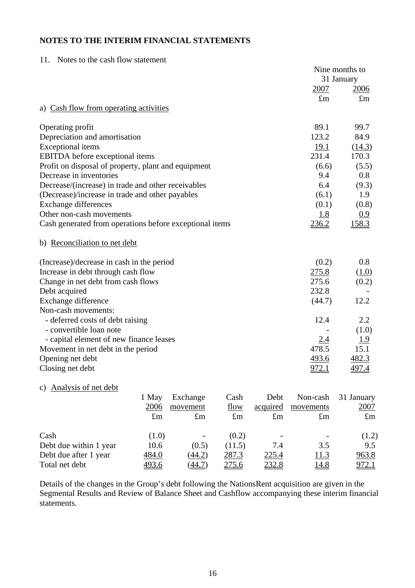| Notes to the cash flow statement<br>11.                 |              |                    |                |
|---------------------------------------------------------|--------------|--------------------|----------------|
|                                                         |              |                    | Nine months to |
|                                                         |              |                    | 31 January     |
|                                                         |              | 2007               | 2006           |
|                                                         |              | $\pounds$ m        | $\pounds$ m    |
| a) Cash flow from operating activities                  |              |                    |                |
| Operating profit                                        |              | 89.1               | 99.7           |
| Depreciation and amortisation                           |              | 123.2              | 84.9           |
| <b>Exceptional</b> items                                |              | 19.1               | (14.3)         |
| <b>EBITDA</b> before exceptional items                  |              | 231.4              | 170.3          |
| Profit on disposal of property, plant and equipment     |              | (6.6)              | (5.5)          |
| Decrease in inventories                                 |              | 9.4                | $0.8\,$        |
| Decrease/(increase) in trade and other receivables      |              | 6.4                | (9.3)          |
| (Decrease)/increase in trade and other payables         |              | (6.1)              | 1.9            |
| <b>Exchange differences</b>                             |              | (0.1)              | (0.8)          |
| Other non-cash movements                                |              | 1.8                | 0.9            |
| Cash generated from operations before exceptional items |              | 236.2              | 158.3          |
| b) Reconciliation to net debt                           |              |                    |                |
| (Increase)/decrease in cash in the period               |              | (0.2)              | $0.8\,$        |
| Increase in debt through cash flow                      |              | 275.8              | (1.0)          |
| Change in net debt from cash flows                      |              | 275.6              | (0.2)          |
| Debt acquired                                           |              | 232.8              |                |
| Exchange difference                                     |              | (44.7)             | 12.2           |
| Non-cash movements:                                     |              |                    |                |
| - deferred costs of debt raising                        |              | 12.4               | 2.2            |
| - convertible loan note                                 |              |                    | (1.0)          |
| - capital element of new finance leases                 |              | 2.4                | <u> 1.9</u>    |
| Movement in net debt in the period                      |              | 478.5              | 15.1           |
| Opening net debt                                        |              | 493.6              | 482.3          |
| Closing net debt                                        |              | 972.1              | 497.4          |
| c) Analysis of net debt                                 |              |                    |                |
| 1 May – Exchange<br>$\Gamma$ <sub>ac</sub> h            | $\Gamma$ aht | Non-cash 31 Januar |                |

|                        | 1 May       | Exchange    | Cash         | Debt        | Non-cash    | 31 January   |
|------------------------|-------------|-------------|--------------|-------------|-------------|--------------|
|                        | 2006        | movement    | flow         | acquired    | movements   | <u>2007</u>  |
|                        | $\pounds$ m | $\pounds$ m | $\pounds$ m  | $\pounds$ m | $\pounds$ m | $\pounds$ m  |
| Cash                   | (1.0)       | -           | (0.2)        |             |             | (1.2)        |
| Debt due within 1 year | 10.6        | (0.5)       | (11.5)       | 7.4         | 3.5         | 9.5          |
| Debt due after 1 year  | 484.0       | (44.2)      | 287.3        | 225.4       | <u>11.3</u> | 963.8        |
| Total net debt         | 493.6       | (44.7)      | <u>275.6</u> | 232.8       | 14.8        | <u>972.1</u> |

Details of the changes in the Group's debt following the NationsRent acquisition are given in the Segmental Results and Review of Balance Sheet and Cashflow accompanying these interim financial statements.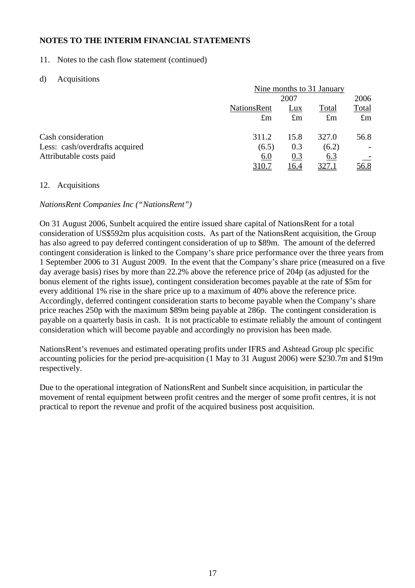11. Notes to the cash flow statement (continued)

## d) Acquisitions

|                                | Nine months to 31 January |              |              |             |  |
|--------------------------------|---------------------------|--------------|--------------|-------------|--|
|                                |                           | 2007         |              |             |  |
|                                | <b>NationsRent</b>        | Lux          | Total        | Total       |  |
|                                | $\pounds$ m               | $\pounds$ m  | $\pounds$ m  | $\pounds$ m |  |
| Cash consideration             | 311.2                     | 15.8         | 327.0        | 56.8        |  |
| Less: cash/overdrafts acquired | (6.5)                     | 0.3          | (6.2)        |             |  |
| Attributable costs paid        | 6.0                       | 0.3          | <u>6.3</u>   |             |  |
|                                | <u>310.7</u>              | <u> 16.4</u> | <u>327.1</u> | <u>56.8</u> |  |

## 12. Acquisitions

## *NationsRent Companies Inc ("NationsRent")*

On 31 August 2006, Sunbelt acquired the entire issued share capital of NationsRent for a total consideration of US\$592m plus acquisition costs. As part of the NationsRent acquisition, the Group has also agreed to pay deferred contingent consideration of up to \$89m. The amount of the deferred contingent consideration is linked to the Company's share price performance over the three years from 1 September 2006 to 31 August 2009. In the event that the Company's share price (measured on a five day average basis) rises by more than 22.2% above the reference price of 204p (as adjusted for the bonus element of the rights issue), contingent consideration becomes payable at the rate of \$5m for every additional 1% rise in the share price up to a maximum of 40% above the reference price. Accordingly, deferred contingent consideration starts to become payable when the Company's share price reaches 250p with the maximum \$89m being payable at 286p. The contingent consideration is payable on a quarterly basis in cash. It is not practicable to estimate reliably the amount of contingent consideration which will become payable and accordingly no provision has been made.

NationsRent's revenues and estimated operating profits under IFRS and Ashtead Group plc specific accounting policies for the period pre-acquisition (1 May to 31 August 2006) were \$230.7m and \$19m respectively.

Due to the operational integration of NationsRent and Sunbelt since acquisition, in particular the movement of rental equipment between profit centres and the merger of some profit centres, it is not practical to report the revenue and profit of the acquired business post acquisition.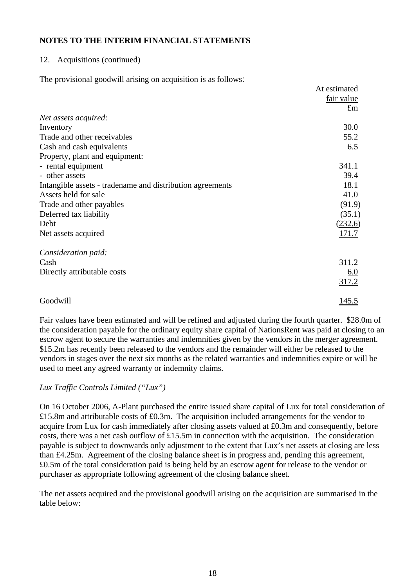## 12. Acquisitions (continued)

The provisional goodwill arising on acquisition is as follows:

|                                                           | At estimated |
|-----------------------------------------------------------|--------------|
|                                                           | fair value   |
|                                                           | $\pounds$ m  |
| Net assets acquired:                                      |              |
| Inventory                                                 | 30.0         |
| Trade and other receivables                               | 55.2         |
| Cash and cash equivalents                                 | 6.5          |
| Property, plant and equipment:                            |              |
| - rental equipment                                        | 341.1        |
| - other assets                                            | 39.4         |
| Intangible assets - tradename and distribution agreements | 18.1         |
| Assets held for sale                                      | 41.0         |
| Trade and other payables                                  | (91.9)       |
| Deferred tax liability                                    | (35.1)       |
| Debt                                                      | (232.6)      |
| Net assets acquired                                       | 171.7        |
| Consideration paid:                                       |              |
| Cash                                                      | 311.2        |
| Directly attributable costs                               | <u>6.0</u>   |
|                                                           | 317.2        |
| Goodwill                                                  | <u>145.5</u> |

Fair values have been estimated and will be refined and adjusted during the fourth quarter. \$28.0m of the consideration payable for the ordinary equity share capital of NationsRent was paid at closing to an escrow agent to secure the warranties and indemnities given by the vendors in the merger agreement. \$15.2m has recently been released to the vendors and the remainder will either be released to the vendors in stages over the next six months as the related warranties and indemnities expire or will be used to meet any agreed warranty or indemnity claims.

## *Lux Traffic Controls Limited ("Lux")*

On 16 October 2006, A-Plant purchased the entire issued share capital of Lux for total consideration of £15.8m and attributable costs of £0.3m. The acquisition included arrangements for the vendor to acquire from Lux for cash immediately after closing assets valued at £0.3m and consequently, before costs, there was a net cash outflow of £15.5m in connection with the acquisition. The consideration payable is subject to downwards only adjustment to the extent that Lux's net assets at closing are less than £4.25m. Agreement of the closing balance sheet is in progress and, pending this agreement, £0.5m of the total consideration paid is being held by an escrow agent for release to the vendor or purchaser as appropriate following agreement of the closing balance sheet.

The net assets acquired and the provisional goodwill arising on the acquisition are summarised in the table below: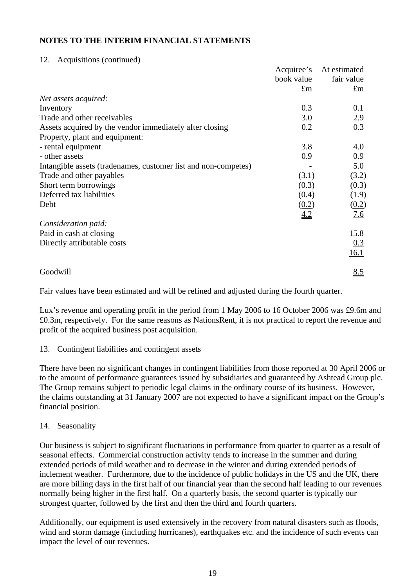## 12. Acquisitions (continued)

|                                                                | Acquiree's  | At estimated |
|----------------------------------------------------------------|-------------|--------------|
|                                                                | book value  | fair value   |
|                                                                | $\pounds$ m | $\pounds$ m  |
| Net assets acquired:                                           |             |              |
| Inventory                                                      | 0.3         | 0.1          |
| Trade and other receivables                                    | 3.0         | 2.9          |
| Assets acquired by the vendor immediately after closing        | 0.2         | 0.3          |
| Property, plant and equipment:                                 |             |              |
| - rental equipment                                             | 3.8         | 4.0          |
| - other assets                                                 | 0.9         | 0.9          |
| Intangible assets (tradenames, customer list and non-competes) |             | 5.0          |
| Trade and other payables                                       | (3.1)       | (3.2)        |
| Short term borrowings                                          | (0.3)       | (0.3)        |
| Deferred tax liabilities                                       | (0.4)       | (1.9)        |
| Debt                                                           | (0.2)       | (0.2)        |
|                                                                | 4.2         | 7.6          |
| Consideration paid:                                            |             |              |
| Paid in cash at closing                                        |             | 15.8         |
| Directly attributable costs                                    |             | 0.3          |
|                                                                |             | 16.1         |
| Goodwill                                                       |             | 8.5          |

Fair values have been estimated and will be refined and adjusted during the fourth quarter.

Lux's revenue and operating profit in the period from 1 May 2006 to 16 October 2006 was £9.6m and £0.3m, respectively. For the same reasons as NationsRent, it is not practical to report the revenue and profit of the acquired business post acquisition.

## 13. Contingent liabilities and contingent assets

There have been no significant changes in contingent liabilities from those reported at 30 April 2006 or to the amount of performance guarantees issued by subsidiaries and guaranteed by Ashtead Group plc. The Group remains subject to periodic legal claims in the ordinary course of its business. However, the claims outstanding at 31 January 2007 are not expected to have a significant impact on the Group's financial position.

## 14. Seasonality

Our business is subject to significant fluctuations in performance from quarter to quarter as a result of seasonal effects. Commercial construction activity tends to increase in the summer and during extended periods of mild weather and to decrease in the winter and during extended periods of inclement weather. Furthermore, due to the incidence of public holidays in the US and the UK, there are more billing days in the first half of our financial year than the second half leading to our revenues normally being higher in the first half. On a quarterly basis, the second quarter is typically our strongest quarter, followed by the first and then the third and fourth quarters.

Additionally, our equipment is used extensively in the recovery from natural disasters such as floods, wind and storm damage (including hurricanes), earthquakes etc. and the incidence of such events can impact the level of our revenues.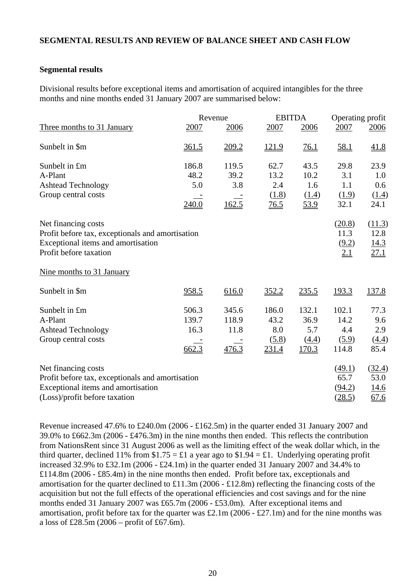# **SEGMENTAL RESULTS AND REVIEW OF BALANCE SHEET AND CASH FLOW**

### **Segmental results**

Divisional results before exceptional items and amortisation of acquired intangibles for the three months and nine months ended 31 January 2007 are summarised below:

|                                                  |       | Revenue | <b>EBITDA</b>               |               | Operating profit |               |
|--------------------------------------------------|-------|---------|-----------------------------|---------------|------------------|---------------|
| Three months to 31 January                       | 2007  | 2006    | 2007                        | 2006          | 2007             | 2006          |
| Sunbelt in \$m                                   | 361.5 | 209.2   | 121.9                       | 76.1          | <u>58.1</u>      | 41.8          |
| Sunbelt in £m                                    | 186.8 | 119.5   | 62.7                        | 43.5          | 29.8             | 23.9          |
| A-Plant                                          | 48.2  | 39.2    | 13.2                        | 10.2          | 3.1              | 1.0           |
| <b>Ashtead Technology</b>                        | 5.0   | 3.8     | 2.4                         | 1.6           | 1.1              | 0.6           |
| Group central costs                              | 240.0 | 162.5   | (1.8)<br>$\underline{76.5}$ | (1.4)<br>53.9 | (1.9)<br>32.1    | (1.4)<br>24.1 |
| Net financing costs                              |       |         |                             |               | (20.8)           | (11.3)        |
| Profit before tax, exceptionals and amortisation |       |         |                             |               | 11.3             | 12.8          |
| Exceptional items and amortisation               |       |         |                             |               | (9.2)            | 14.3          |
| Profit before taxation                           |       |         |                             |               | 2.1              | 27.1          |
| Nine months to 31 January                        |       |         |                             |               |                  |               |
| Sunbelt in \$m                                   | 958.5 | 616.0   | 352.2                       | 235.5         | <u>193.3</u>     | <u>137.8</u>  |
| Sunbelt in £m                                    | 506.3 | 345.6   | 186.0                       | 132.1         | 102.1            | 77.3          |
| A-Plant                                          | 139.7 | 118.9   | 43.2                        | 36.9          | 14.2             | 9.6           |
| <b>Ashtead Technology</b>                        | 16.3  | 11.8    | 8.0                         | 5.7           | 4.4              | 2.9           |
| Group central costs                              |       |         | (5.8)                       | (4.4)         | (5.9)            | (4.4)         |
|                                                  | 662.3 | 476.3   | 231.4                       | 170.3         | 114.8            | 85.4          |
| Net financing costs                              |       |         |                             |               | (49.1)           | (32.4)        |
| Profit before tax, exceptionals and amortisation |       |         |                             |               | 65.7             | 53.0          |
| Exceptional items and amortisation               |       |         |                             |               | (94.2)           | <u>14.6</u>   |
| (Loss)/profit before taxation                    |       |         |                             |               | (28.5)           | 67.6          |

Revenue increased 47.6% to £240.0m (2006 - £162.5m) in the quarter ended 31 January 2007 and 39.0% to £662.3m (2006 - £476.3m) in the nine months then ended. This reflects the contribution from NationsRent since 31 August 2006 as well as the limiting effect of the weak dollar which, in the third quarter, declined 11% from  $$1.75 = £1$  a year ago to  $$1.94 = £1$ . Underlying operating profit increased 32.9% to £32.1m (2006 - £24.1m) in the quarter ended 31 January 2007 and 34.4% to £114.8m (2006 - £85.4m) in the nine months then ended. Profit before tax, exceptionals and amortisation for the quarter declined to £11.3m (2006 - £12.8m) reflecting the financing costs of the acquisition but not the full effects of the operational efficiencies and cost savings and for the nine months ended 31 January 2007 was £65.7m (2006 - £53.0m). After exceptional items and amortisation, profit before tax for the quarter was £2.1m (2006 - £27.1m) and for the nine months was a loss of £28.5m (2006 – profit of £67.6m).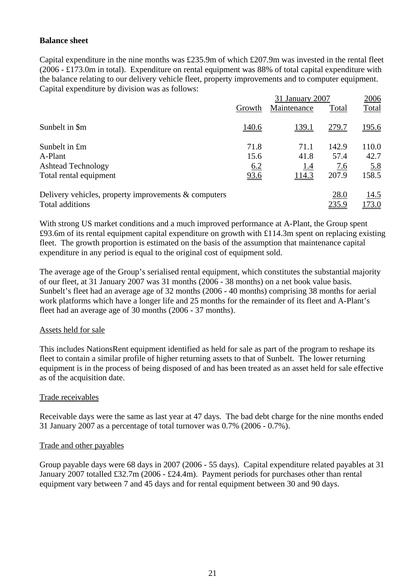## **Balance sheet**

Capital expenditure in the nine months was £235.9m of which £207.9m was invested in the rental fleet (2006 - £173.0m in total). Expenditure on rental equipment was 88% of total capital expenditure with the balance relating to our delivery vehicle fleet, property improvements and to computer equipment. Capital expenditure by division was as follows:

|                                                         |              | 31 January 2007 | 2006  |              |
|---------------------------------------------------------|--------------|-----------------|-------|--------------|
|                                                         | Growth       | Maintenance     | Total | Total        |
| Sunbelt in \$m                                          | <u>140.6</u> | <u>139.1</u>    | 279.7 | <u>195.6</u> |
| Sunbelt in £m                                           | 71.8         | 71.1            | 142.9 | 110.0        |
| A-Plant                                                 | 15.6         | 41.8            | 57.4  | 42.7         |
| <b>Ashtead Technology</b>                               | 6.2          | <u>1.4</u>      | 7.6   | <u>5.8</u>   |
| Total rental equipment                                  | 93.6         | <u>114.3</u>    | 207.9 | 158.5        |
| Delivery vehicles, property improvements $\&$ computers |              |                 | 28.0  | 14.5         |
| Total additions                                         |              |                 | 235.9 | 173.0        |

With strong US market conditions and a much improved performance at A-Plant, the Group spent £93.6m of its rental equipment capital expenditure on growth with £114.3m spent on replacing existing fleet. The growth proportion is estimated on the basis of the assumption that maintenance capital expenditure in any period is equal to the original cost of equipment sold.

The average age of the Group's serialised rental equipment, which constitutes the substantial majority of our fleet, at 31 January 2007 was 31 months (2006 - 38 months) on a net book value basis. Sunbelt's fleet had an average age of 32 months (2006 - 40 months) comprising 38 months for aerial work platforms which have a longer life and 25 months for the remainder of its fleet and A-Plant's fleet had an average age of 30 months (2006 - 37 months).

#### Assets held for sale

This includes NationsRent equipment identified as held for sale as part of the program to reshape its fleet to contain a similar profile of higher returning assets to that of Sunbelt. The lower returning equipment is in the process of being disposed of and has been treated as an asset held for sale effective as of the acquisition date.

## Trade receivables

Receivable days were the same as last year at 47 days. The bad debt charge for the nine months ended 31 January 2007 as a percentage of total turnover was 0.7% (2006 - 0.7%).

#### Trade and other payables

Group payable days were 68 days in 2007 (2006 - 55 days). Capital expenditure related payables at 31 January 2007 totalled £32.7m (2006 - £24.4m). Payment periods for purchases other than rental equipment vary between 7 and 45 days and for rental equipment between 30 and 90 days.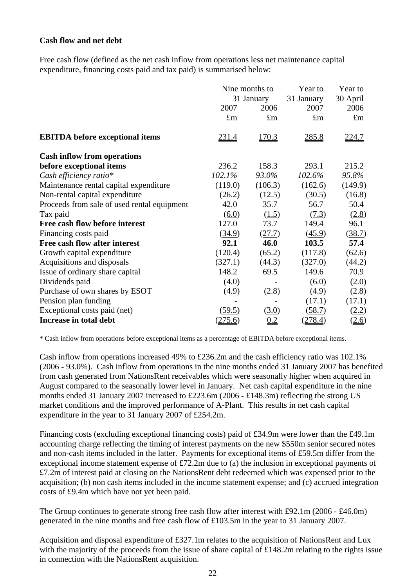## **Cash flow and net debt**

Free cash flow (defined as the net cash inflow from operations less net maintenance capital expenditure, financing costs paid and tax paid) is summarised below:

|                                             |             | Nine months to | Year to     | Year to      |
|---------------------------------------------|-------------|----------------|-------------|--------------|
|                                             |             | 31 January     | 31 January  | 30 April     |
|                                             | 2007        | 2006           | 2007        | 2006         |
|                                             | $\pounds$ m | $\pounds$ m    | $\pounds$ m | $\pounds$ m  |
| <b>EBITDA</b> before exceptional items      | 231.4       | 170.3          | 285.8       | <u>224.7</u> |
| <b>Cash inflow from operations</b>          |             |                |             |              |
| before exceptional items                    | 236.2       | 158.3          | 293.1       | 215.2        |
| Cash efficiency ratio*                      | 102.1%      | 93.0%          | 102.6%      | 95.8%        |
| Maintenance rental capital expenditure      | (119.0)     | (106.3)        | (162.6)     | (149.9)      |
| Non-rental capital expenditure              | (26.2)      | (12.5)         | (30.5)      | (16.8)       |
| Proceeds from sale of used rental equipment | 42.0        | 35.7           | 56.7        | 50.4         |
| Tax paid                                    | (6.0)       | (1.5)          | (7.3)       | (2.8)        |
| Free cash flow before interest              | 127.0       | 73.7           | 149.4       | 96.1         |
| Financing costs paid                        | (34.9)      | (27.7)         | (45.9)      | (38.7)       |
| Free cash flow after interest               | 92.1        | 46.0           | 103.5       | 57.4         |
| Growth capital expenditure                  | (120.4)     | (65.2)         | (117.8)     | (62.6)       |
| Acquisitions and disposals                  | (327.1)     | (44.3)         | (327.0)     | (44.2)       |
| Issue of ordinary share capital             | 148.2       | 69.5           | 149.6       | 70.9         |
| Dividends paid                              | (4.0)       |                | (6.0)       | (2.0)        |
| Purchase of own shares by ESOT              | (4.9)       | (2.8)          | (4.9)       | (2.8)        |
| Pension plan funding                        |             |                | (17.1)      | (17.1)       |
| Exceptional costs paid (net)                | (59.5)      | (3.0)          | (58.7)      | (2.2)        |
| Increase in total debt                      | (275.6)     | 0.2            | (278.4)     | (2.6)        |

\* Cash inflow from operations before exceptional items as a percentage of EBITDA before exceptional items.

Cash inflow from operations increased 49% to £236.2m and the cash efficiency ratio was 102.1% (2006 - 93.0%). Cash inflow from operations in the nine months ended 31 January 2007 has benefited from cash generated from NationsRent receivables which were seasonally higher when acquired in August compared to the seasonally lower level in January. Net cash capital expenditure in the nine months ended 31 January 2007 increased to £223.6m (2006 - £148.3m) reflecting the strong US market conditions and the improved performance of A-Plant. This results in net cash capital expenditure in the year to 31 January 2007 of £254.2m.

Financing costs (excluding exceptional financing costs) paid of £34.9m were lower than the £49.1m accounting charge reflecting the timing of interest payments on the new \$550m senior secured notes and non-cash items included in the latter. Payments for exceptional items of £59.5m differ from the exceptional income statement expense of £72.2m due to (a) the inclusion in exceptional payments of £7.2m of interest paid at closing on the NationsRent debt redeemed which was expensed prior to the acquisition; (b) non cash items included in the income statement expense; and (c) accrued integration costs of £9.4m which have not yet been paid.

The Group continues to generate strong free cash flow after interest with £92.1m (2006 - £46.0m) generated in the nine months and free cash flow of £103.5m in the year to 31 January 2007.

Acquisition and disposal expenditure of £327.1m relates to the acquisition of NationsRent and Lux with the majority of the proceeds from the issue of share capital of £148.2m relating to the rights issue in connection with the NationsRent acquisition.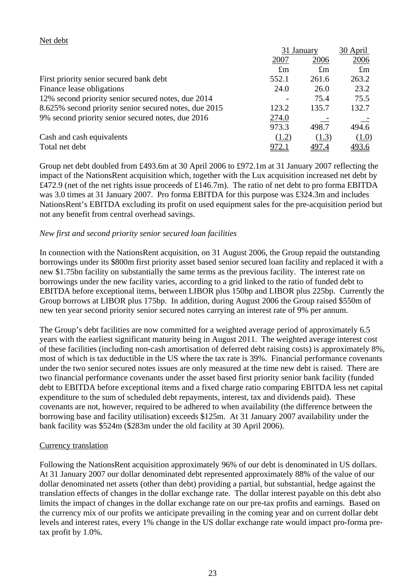## Net debt

|                                                       |             | 31 January  |             |
|-------------------------------------------------------|-------------|-------------|-------------|
|                                                       | 2007        | 2006        | 2006        |
|                                                       | $\pounds$ m | $\pounds$ m | $\pounds$ m |
| First priority senior secured bank debt               | 552.1       | 261.6       | 263.2       |
| Finance lease obligations                             | 24.0        | 26.0        | 23.2        |
| 12% second priority senior secured notes, due 2014    |             | 75.4        | 75.5        |
| 8.625% second priority senior secured notes, due 2015 | 123.2       | 135.7       | 132.7       |
| 9% second priority senior secured notes, due 2016     | 274.0       |             |             |
|                                                       | 973.3       | 498.7       | 494.6       |
| Cash and cash equivalents                             | (1.2)       | (1.3)       | (1.0)       |
| Total net debt                                        | 972.1       | 497.4       | 493.6       |

Group net debt doubled from £493.6m at 30 April 2006 to £972.1m at 31 January 2007 reflecting the impact of the NationsRent acquisition which, together with the Lux acquisition increased net debt by £472.9 (net of the net rights issue proceeds of £146.7m). The ratio of net debt to pro forma EBITDA was 3.0 times at 31 January 2007. Pro forma EBITDA for this purpose was £324.3m and includes NationsRent's EBITDA excluding its profit on used equipment sales for the pre-acquisition period but not any benefit from central overhead savings.

## *New first and second priority senior secured loan facilities*

In connection with the NationsRent acquisition, on 31 August 2006, the Group repaid the outstanding borrowings under its \$800m first priority asset based senior secured loan facility and replaced it with a new \$1.75bn facility on substantially the same terms as the previous facility. The interest rate on borrowings under the new facility varies, according to a grid linked to the ratio of funded debt to EBITDA before exceptional items, between LIBOR plus 150bp and LIBOR plus 225bp. Currently the Group borrows at LIBOR plus 175bp. In addition, during August 2006 the Group raised \$550m of new ten year second priority senior secured notes carrying an interest rate of 9% per annum.

The Group's debt facilities are now committed for a weighted average period of approximately 6.5 years with the earliest significant maturity being in August 2011. The weighted average interest cost of these facilities (including non-cash amortisation of deferred debt raising costs) is approximately 8%, most of which is tax deductible in the US where the tax rate is 39%. Financial performance covenants under the two senior secured notes issues are only measured at the time new debt is raised. There are two financial performance covenants under the asset based first priority senior bank facility (funded debt to EBITDA before exceptional items and a fixed charge ratio comparing EBITDA less net capital expenditure to the sum of scheduled debt repayments, interest, tax and dividends paid). These covenants are not, however, required to be adhered to when availability (the difference between the borrowing base and facility utilisation) exceeds \$125m. At 31 January 2007 availability under the bank facility was \$524m (\$283m under the old facility at 30 April 2006).

#### Currency translation

Following the NationsRent acquisition approximately 96% of our debt is denominated in US dollars. At 31 January 2007 our dollar denominated debt represented approximately 88% of the value of our dollar denominated net assets (other than debt) providing a partial, but substantial, hedge against the translation effects of changes in the dollar exchange rate. The dollar interest payable on this debt also limits the impact of changes in the dollar exchange rate on our pre-tax profits and earnings. Based on the currency mix of our profits we anticipate prevailing in the coming year and on current dollar debt levels and interest rates, every 1% change in the US dollar exchange rate would impact pro-forma pretax profit by 1.0%.